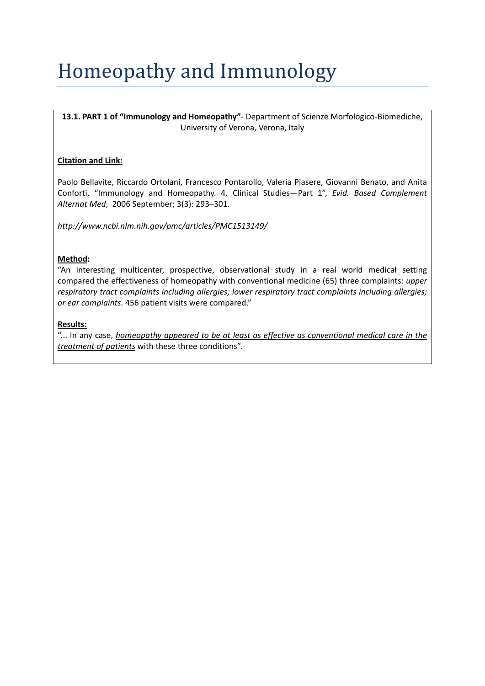# Homeopathy and Immunology

**13.1. PART 1 of "Immunology and Homeopathy"**‐ Department of Scienze Morfologico‐Biomediche, University of Verona, Verona, Italy

## **Citation and Link:**

Paolo Bellavite, Riccardo Ortolani, Francesco Pontarollo, Valeria Piasere, Giovanni Benato, and Anita Conforti, "Immunology and Homeopathy. 4. Clinical Studies—Part 1", *Evid. Based Complement Alternat Med*, 2006 September; 3(3): 293–301.

*http://www.ncbi.nlm.nih.gov/pmc/articles/PMC1513149/*

### **Method:**

"An interesting multicenter, prospective, observational study in a real world medical setting compared the effectiveness of homeopathy with conventional medicine (65) three complaints: *upper respiratory tract complaints including allergies; lower respiratory tract complaints including allergies; or ear complaints*. 456 patient visits were compared."

### **Results:**

"... In any case, *homeopathy appeared to be at least as effective as conventional medical care in the treatment of patients* with these three conditions".